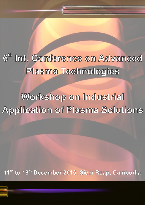$6<sup>th</sup>$ Int. Conference on Advanced Plasma Technologies

Workshop on Industrial **Application of Plasma Solutions** 

11<sup>th</sup> to 18<sup>th</sup> December 2016, Siem Reap, Cambodia

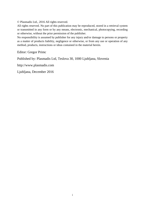© Plasmadis Ltd., 2016 All rights reserved.

All rights reserved. No part of this publication may be reproduced, stored in a retrieval system or transmitted in any form or by any means, electronic, mechanical, photocopying, recording or otherwise, without the prior permission of the publisher.

No responsibility is assumed by publisher for any injury and/or damage to persons or property as a matter of products liability, negligence or otherwise, or from any use or operation of any method, products, instructions or ideas contained in the material herein.

Editor: Gregor Primc

Published by: Plasmadis Ltd, Teslova 30, 1000 Ljubljana, Slovenia

http://www.plasmadis.com

Ljubljana, December 2016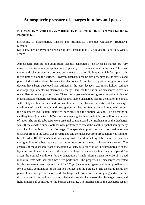## **Atmospheric pressure discharges in tubes and pores**

## **K. Hensel (1), M. Janda (1), Z. Machala (1), P. Le Delliou (2), P. Tardiveau (2) and S. Pasquires (2)**

(1) Faculty of Mathematics, Physics and Informatics, Comenius University, Bratislava, Slovakia

(2) Laboratoire de Physique des Gaz et des Plasmas (LPGP), Universite Paris-Sud, Orsay, France

Atmospheric pressure non-equilibrium plasmas generated by electrical discharges are very attractive due to numerous applications, especially environmental and biomedical. The most common discharge types are coronas and dielectric barrier discharges, which form plasma in the volume or along the surface. However, discharges can be also generated inside cavities and pores of dielectrics placed between the electrodes. A number of hybrid configurations and devices have been developed and utilized in the past decades, e.g. micro-hollow cathode discharge, capillary plasma electrode discharge. Here, the focus is put on discharges in cavities of capillary tubes and porous foams. These discharges are interesting from the point of view of plasma assisted catalytic research that requires stable discharges plasma generation in contact with catalysts, their surface and porous structure. The physical properties of the discharge, conditions of their formation and propagation in tubes and foams are addressed with respect their geometry (e.g. length, diameter, pore size) and the applied voltage. The discharge in capillary tubes (diameter of 0.2-2 mm) was investigated in a single tube, as well as in a bundle of tubes. The single tube tests were essential to understand the mechanism of the discharge, while the tests with a bundle of tubes were performed to assess the stability, spatial homogeneity and chemical activity of the discharge. The spatial-temporal resolved propagation of the discharge front in the tubes was investigated and the discharge front propagation was found to be of order  $10^7$ - $10^8$  cm/s and increasing with the diminishing tube diameter. Various configurations of tubes separated by one or two porous dielectric layers were tested. The changes of the discharge front propagation velocity as a function of thickness/porosity of the layer and amplitude/frequency of the applied voltage pulses was evaluated and compared. To assess the optimal conditions for the generation of stable plasma inside honeycomb-shaped monolith, tests with several tubes were performed. The properties of discharges generated inside the ceramic foams (pore size of  $2 - 200 \mu m$ ) were investigated and found possible only for a specific combination of the applied voltage and the pore size. The discharge inside the porous foams is repetitive short spark discharge that forms from the foregoing surface barrier discharge and its formation is accompanied with a sudden increase of the discharge current and light emission if compared to the barrier discharge. The mechanism of the discharge results